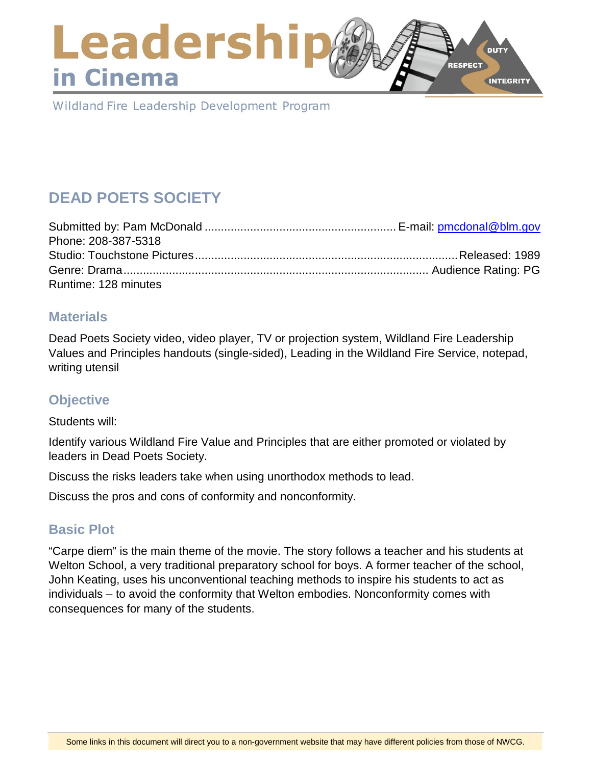### Leadershi **DUTY RESPECT** in Cinema **INTEGRITY**

Wildland Fire Leadership Development Program

# **DEAD POETS SOCIETY**

| Phone: 208-387-5318  |  |
|----------------------|--|
|                      |  |
|                      |  |
| Runtime: 128 minutes |  |

### **Materials**

Dead Poets Society video, video player, TV or projection system, Wildland Fire Leadership Values and Principles handouts (single-sided), Leading in the Wildland Fire Service, notepad, writing utensil

## **Objective**

Students will:

Identify various Wildland Fire Value and Principles that are either promoted or violated by leaders in Dead Poets Society.

Discuss the risks leaders take when using unorthodox methods to lead.

Discuss the pros and cons of conformity and nonconformity.

## **Basic Plot**

"Carpe diem" is the main theme of the movie. The story follows a teacher and his students at Welton School, a very traditional preparatory school for boys. A former teacher of the school, John Keating, uses his unconventional teaching methods to inspire his students to act as individuals – to avoid the conformity that Welton embodies. Nonconformity comes with consequences for many of the students.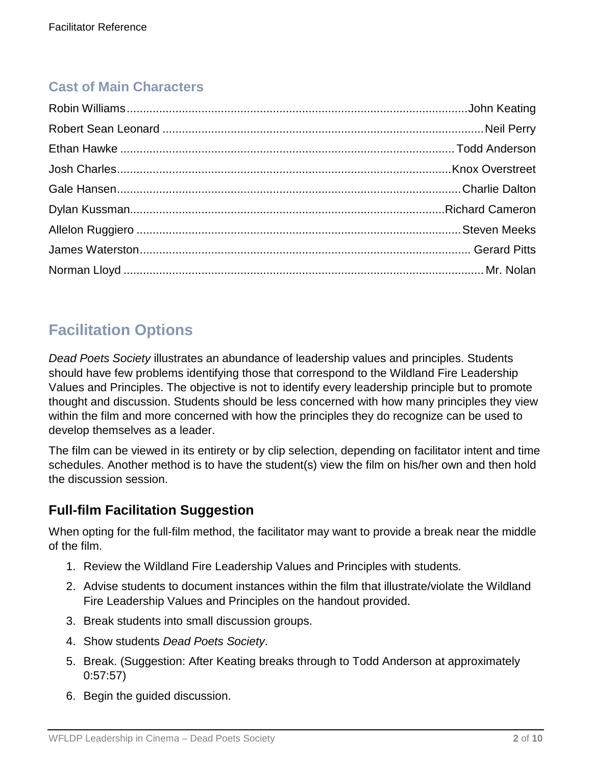# **Cast of Main Characters**

# **Facilitation Options**

*Dead Poets Society* illustrates an abundance of leadership values and principles. Students should have few problems identifying those that correspond to the Wildland Fire Leadership Values and Principles. The objective is not to identify every leadership principle but to promote thought and discussion. Students should be less concerned with how many principles they view within the film and more concerned with how the principles they do recognize can be used to develop themselves as a leader.

The film can be viewed in its entirety or by clip selection, depending on facilitator intent and time schedules. Another method is to have the student(s) view the film on his/her own and then hold the discussion session.

## **Full-film Facilitation Suggestion**

When opting for the full-film method, the facilitator may want to provide a break near the middle of the film.

- 1. Review the Wildland Fire Leadership Values and Principles with students.
- 2. Advise students to document instances within the film that illustrate/violate the Wildland Fire Leadership Values and Principles on the handout provided.
- 3. Break students into small discussion groups.
- 4. Show students *Dead Poets Society*.
- 5. Break. (Suggestion: After Keating breaks through to Todd Anderson at approximately 0:57:57)
- 6. Begin the guided discussion.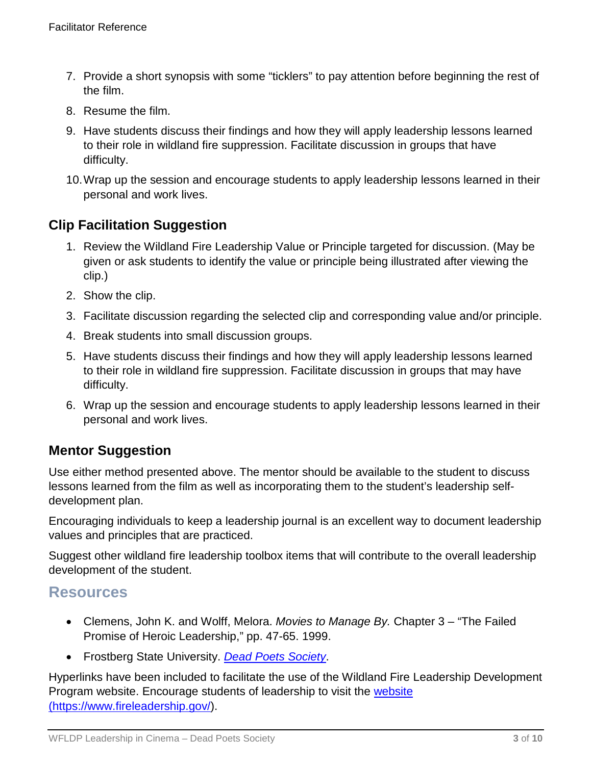- 7. Provide a short synopsis with some "ticklers" to pay attention before beginning the rest of the film.
- 8. Resume the film.
- 9. Have students discuss their findings and how they will apply leadership lessons learned to their role in wildland fire suppression. Facilitate discussion in groups that have difficulty.
- 10.Wrap up the session and encourage students to apply leadership lessons learned in their personal and work lives.

# **Clip Facilitation Suggestion**

- 1. Review the Wildland Fire Leadership Value or Principle targeted for discussion. (May be given or ask students to identify the value or principle being illustrated after viewing the clip.)
- 2. Show the clip.
- 3. Facilitate discussion regarding the selected clip and corresponding value and/or principle.
- 4. Break students into small discussion groups.
- 5. Have students discuss their findings and how they will apply leadership lessons learned to their role in wildland fire suppression. Facilitate discussion in groups that may have difficulty.
- 6. Wrap up the session and encourage students to apply leadership lessons learned in their personal and work lives.

## **Mentor Suggestion**

Use either method presented above. The mentor should be available to the student to discuss lessons learned from the film as well as incorporating them to the student's leadership selfdevelopment plan.

Encouraging individuals to keep a leadership journal is an excellent way to document leadership values and principles that are practiced.

Suggest other wildland fire leadership toolbox items that will contribute to the overall leadership development of the student.

## **Resources**

- Clemens, John K. and Wolff, Melora. *Movies to Manage By.* Chapter 3 "The Failed Promise of Heroic Leadership," pp. 47-65. 1999.
- Frostberg State University. *[Dead Poets Society](http://faculty.frostburg.edu/phil/forum/DeadPoets.htm)*.

Hyperlinks have been included to facilitate the use of the Wildland Fire Leadership Development Program website. Encourage students of leadership to visit the [website](https://www.fireleadership.gov/)  [\(https://www.fireleadership.gov/\)](https://www.fireleadership.gov/).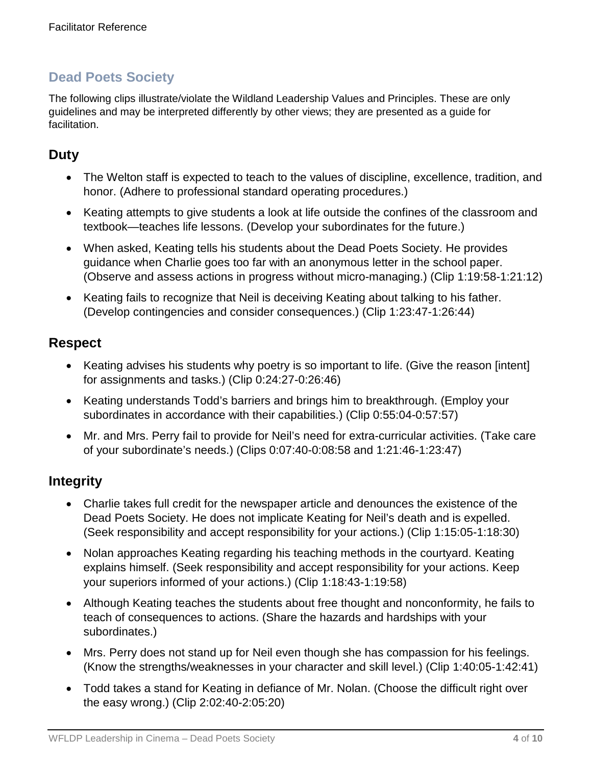# **Dead Poets Society**

The following clips illustrate/violate the Wildland Leadership Values and Principles. These are only guidelines and may be interpreted differently by other views; they are presented as a guide for facilitation.

# **Duty**

- The Welton staff is expected to teach to the values of discipline, excellence, tradition, and honor. (Adhere to professional standard operating procedures.)
- Keating attempts to give students a look at life outside the confines of the classroom and textbook—teaches life lessons. (Develop your subordinates for the future.)
- When asked, Keating tells his students about the Dead Poets Society. He provides guidance when Charlie goes too far with an anonymous letter in the school paper. (Observe and assess actions in progress without micro-managing.) (Clip 1:19:58-1:21:12)
- Keating fails to recognize that Neil is deceiving Keating about talking to his father. (Develop contingencies and consider consequences.) (Clip 1:23:47-1:26:44)

### **Respect**

- Keating advises his students why poetry is so important to life. (Give the reason [intent] for assignments and tasks.) (Clip 0:24:27-0:26:46)
- Keating understands Todd's barriers and brings him to breakthrough. (Employ your subordinates in accordance with their capabilities.) (Clip 0:55:04-0:57:57)
- Mr. and Mrs. Perry fail to provide for Neil's need for extra-curricular activities. (Take care of your subordinate's needs.) (Clips 0:07:40-0:08:58 and 1:21:46-1:23:47)

# **Integrity**

- Charlie takes full credit for the newspaper article and denounces the existence of the Dead Poets Society. He does not implicate Keating for Neil's death and is expelled. (Seek responsibility and accept responsibility for your actions.) (Clip 1:15:05-1:18:30)
- Nolan approaches Keating regarding his teaching methods in the courtyard. Keating explains himself. (Seek responsibility and accept responsibility for your actions. Keep your superiors informed of your actions.) (Clip 1:18:43-1:19:58)
- Although Keating teaches the students about free thought and nonconformity, he fails to teach of consequences to actions. (Share the hazards and hardships with your subordinates.)
- Mrs. Perry does not stand up for Neil even though she has compassion for his feelings. (Know the strengths/weaknesses in your character and skill level.) (Clip 1:40:05-1:42:41)
- Todd takes a stand for Keating in defiance of Mr. Nolan. (Choose the difficult right over the easy wrong.) (Clip 2:02:40-2:05:20)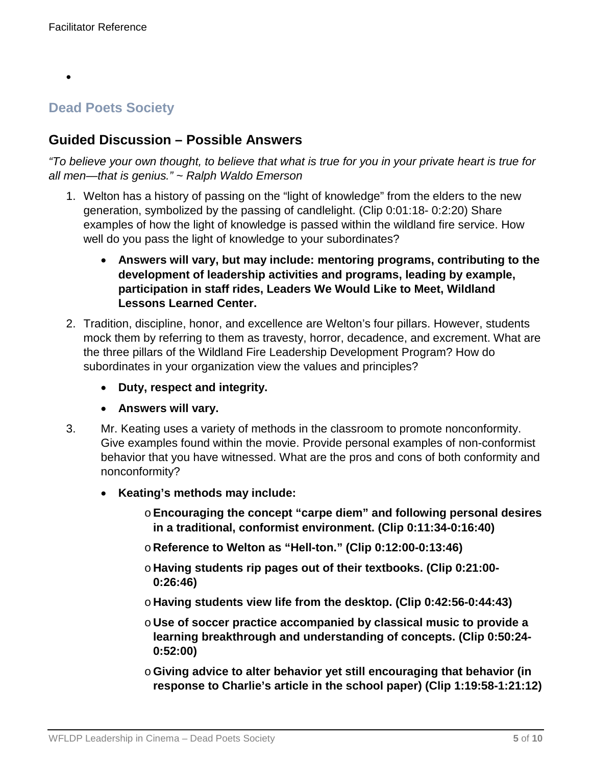•

# **Dead Poets Society**

### **Guided Discussion – Possible Answers**

*"To believe your own thought, to believe that what is true for you in your private heart is true for all men—that is genius." ~ Ralph Waldo Emerson*

- 1. Welton has a history of passing on the "light of knowledge" from the elders to the new generation, symbolized by the passing of candlelight. (Clip 0:01:18- 0:2:20) Share examples of how the light of knowledge is passed within the wildland fire service. How well do you pass the light of knowledge to your subordinates?
	- **Answers will vary, but may include: mentoring programs, contributing to the development of leadership activities and programs, leading by example, participation in staff rides, Leaders We Would Like to Meet, Wildland Lessons Learned Center.**
- 2. Tradition, discipline, honor, and excellence are Welton's four pillars. However, students mock them by referring to them as travesty, horror, decadence, and excrement. What are the three pillars of the Wildland Fire Leadership Development Program? How do subordinates in your organization view the values and principles?
	- **Duty, respect and integrity.**
	- **Answers will vary.**
- 3. Mr. Keating uses a variety of methods in the classroom to promote nonconformity. Give examples found within the movie. Provide personal examples of non-conformist behavior that you have witnessed. What are the pros and cons of both conformity and nonconformity?
	- **Keating's methods may include:**
		- o**Encouraging the concept "carpe diem" and following personal desires in a traditional, conformist environment. (Clip 0:11:34-0:16:40)**
		- o **Reference to Welton as "Hell-ton." (Clip 0:12:00-0:13:46)**
		- o **Having students rip pages out of their textbooks. (Clip 0:21:00- 0:26:46)**
		- o **Having students view life from the desktop. (Clip 0:42:56-0:44:43)**
		- o **Use of soccer practice accompanied by classical music to provide a learning breakthrough and understanding of concepts. (Clip 0:50:24- 0:52:00)**
		- o**Giving advice to alter behavior yet still encouraging that behavior (in response to Charlie's article in the school paper) (Clip 1:19:58-1:21:12)**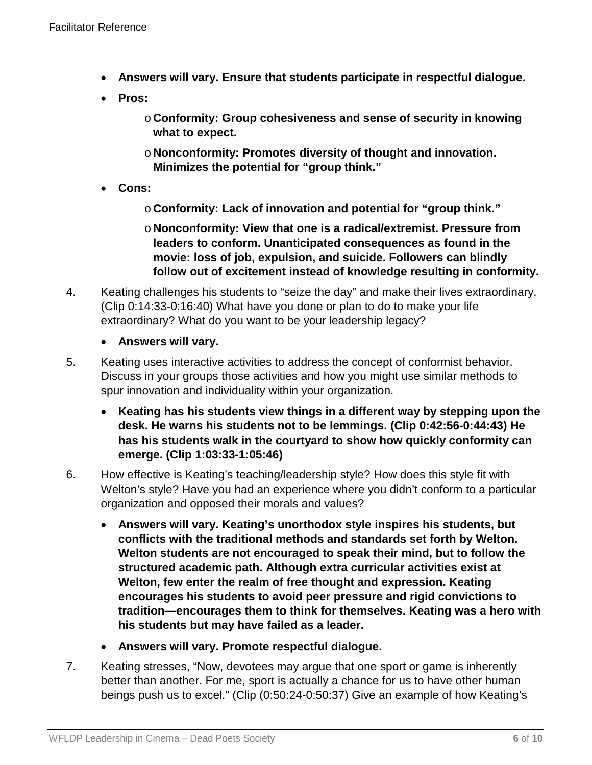- **Answers will vary. Ensure that students participate in respectful dialogue.**
- **Pros:** 
	- o **Conformity: Group cohesiveness and sense of security in knowing what to expect.**
	- o **Nonconformity: Promotes diversity of thought and innovation. Minimizes the potential for "group think."**
- **Cons:**
	- o **Conformity: Lack of innovation and potential for "group think."**
	- o **Nonconformity: View that one is a radical/extremist. Pressure from leaders to conform. Unanticipated consequences as found in the movie: loss of job, expulsion, and suicide. Followers can blindly follow out of excitement instead of knowledge resulting in conformity.**
- 4. Keating challenges his students to "seize the day" and make their lives extraordinary. (Clip 0:14:33-0:16:40) What have you done or plan to do to make your life extraordinary? What do you want to be your leadership legacy?
	- **Answers will vary.**
- 5. Keating uses interactive activities to address the concept of conformist behavior. Discuss in your groups those activities and how you might use similar methods to spur innovation and individuality within your organization.
	- **Keating has his students view things in a different way by stepping upon the desk. He warns his students not to be lemmings. (Clip 0:42:56-0:44:43) He has his students walk in the courtyard to show how quickly conformity can emerge. (Clip 1:03:33-1:05:46)**
- 6. How effective is Keating's teaching/leadership style? How does this style fit with Welton's style? Have you had an experience where you didn't conform to a particular organization and opposed their morals and values?
	- **Answers will vary. Keating's unorthodox style inspires his students, but conflicts with the traditional methods and standards set forth by Welton. Welton students are not encouraged to speak their mind, but to follow the structured academic path. Although extra curricular activities exist at Welton, few enter the realm of free thought and expression. Keating encourages his students to avoid peer pressure and rigid convictions to tradition—encourages them to think for themselves. Keating was a hero with his students but may have failed as a leader.**
	- **Answers will vary. Promote respectful dialogue.**
- 7. Keating stresses, "Now, devotees may argue that one sport or game is inherently better than another. For me, sport is actually a chance for us to have other human beings push us to excel." (Clip (0:50:24-0:50:37) Give an example of how Keating's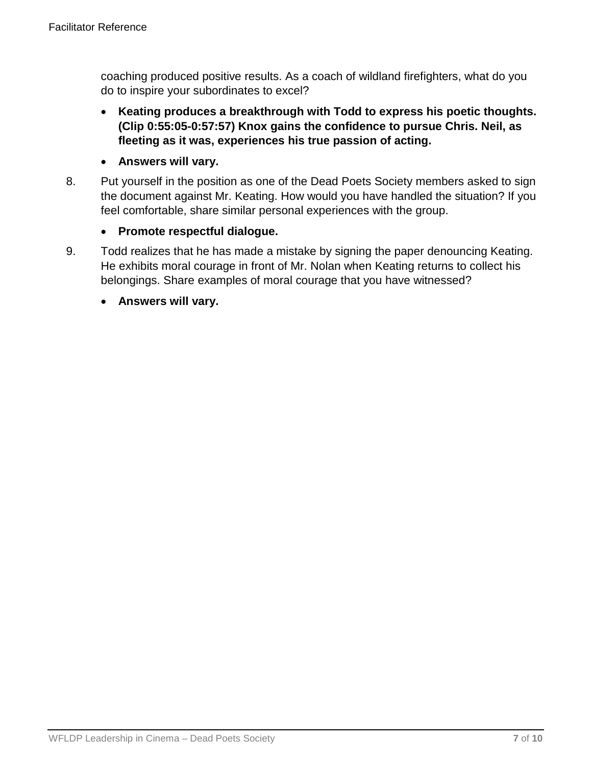coaching produced positive results. As a coach of wildland firefighters, what do you do to inspire your subordinates to excel?

- **Keating produces a breakthrough with Todd to express his poetic thoughts. (Clip 0:55:05-0:57:57) Knox gains the confidence to pursue Chris. Neil, as fleeting as it was, experiences his true passion of acting.**
- **Answers will vary.**
- 8. Put yourself in the position as one of the Dead Poets Society members asked to sign the document against Mr. Keating. How would you have handled the situation? If you feel comfortable, share similar personal experiences with the group.
	- **Promote respectful dialogue.**
- 9. Todd realizes that he has made a mistake by signing the paper denouncing Keating. He exhibits moral courage in front of Mr. Nolan when Keating returns to collect his belongings. Share examples of moral courage that you have witnessed?
	- **Answers will vary.**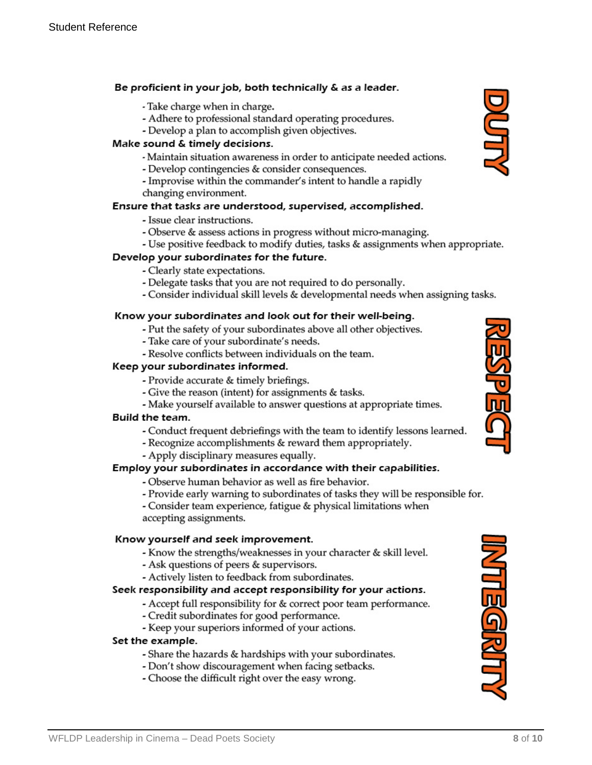#### Be proficient in your job, both technically & as a leader.

- Take charge when in charge.
- Adhere to professional standard operating procedures.
- Develop a plan to accomplish given objectives.

#### Make sound & timely decisions.

- Maintain situation awareness in order to anticipate needed actions.
- Develop contingencies & consider consequences.
- Improvise within the commander's intent to handle a rapidly changing environment.

#### Ensure that tasks are understood, supervised, accomplished.

- Issue clear instructions.
- Observe & assess actions in progress without micro-managing.
- Use positive feedback to modify duties, tasks & assignments when appropriate.

#### Develop your subordinates for the future.

- Clearly state expectations.
- Delegate tasks that you are not required to do personally.
- Consider individual skill levels & developmental needs when assigning tasks.

#### Know your subordinates and look out for their well-being.

- Put the safety of your subordinates above all other objectives.
- Take care of your subordinate's needs.
- Resolve conflicts between individuals on the team.

#### Keep your subordinates informed.

- Provide accurate & timely briefings.
- Give the reason (intent) for assignments & tasks.
- Make yourself available to answer questions at appropriate times.

#### Build the team.

- Conduct frequent debriefings with the team to identify lessons learned.
- Recognize accomplishments & reward them appropriately.
- Apply disciplinary measures equally.

#### Employ your subordinates in accordance with their capabilities.

- Observe human behavior as well as fire behavior.
- Provide early warning to subordinates of tasks they will be responsible for.

- Consider team experience, fatigue & physical limitations when accepting assignments.

#### Know yourself and seek improvement.

- Know the strengths/weaknesses in your character & skill level.
- Ask questions of peers & supervisors.
- Actively listen to feedback from subordinates.

#### Seek responsibility and accept responsibility for your actions.

- Accept full responsibility for & correct poor team performance.
- Credit subordinates for good performance.
- Keep your superiors informed of your actions.

#### Set the example.

- Share the hazards & hardships with your subordinates.
- Don't show discouragement when facing setbacks.
- Choose the difficult right over the easy wrong.



 $\mathbf{E}$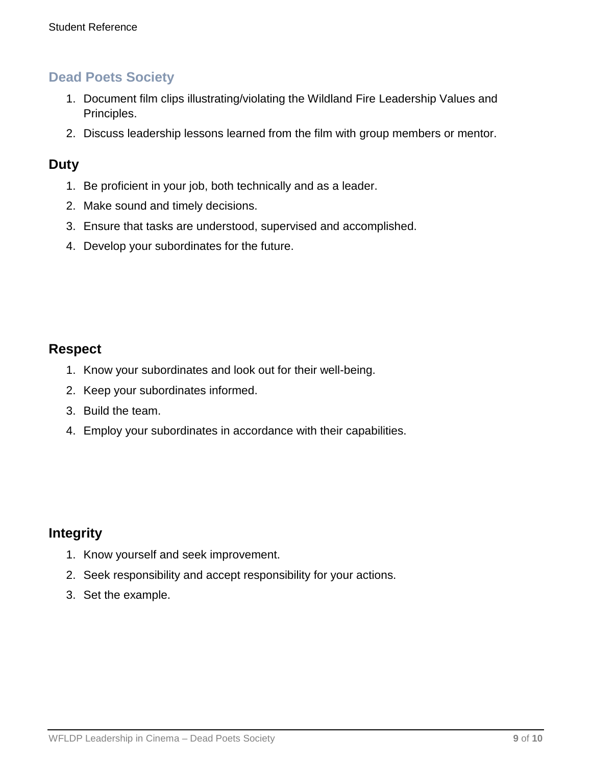### **Dead Poets Society**

- 1. Document film clips illustrating/violating the Wildland Fire Leadership Values and Principles.
- 2. Discuss leadership lessons learned from the film with group members or mentor.

### **Duty**

- 1. Be proficient in your job, both technically and as a leader.
- 2. Make sound and timely decisions.
- 3. Ensure that tasks are understood, supervised and accomplished.
- 4. Develop your subordinates for the future.

### **Respect**

- 1. Know your subordinates and look out for their well-being.
- 2. Keep your subordinates informed.
- 3. Build the team.
- 4. Employ your subordinates in accordance with their capabilities.

### **Integrity**

- 1. Know yourself and seek improvement.
- 2. Seek responsibility and accept responsibility for your actions.
- 3. Set the example.